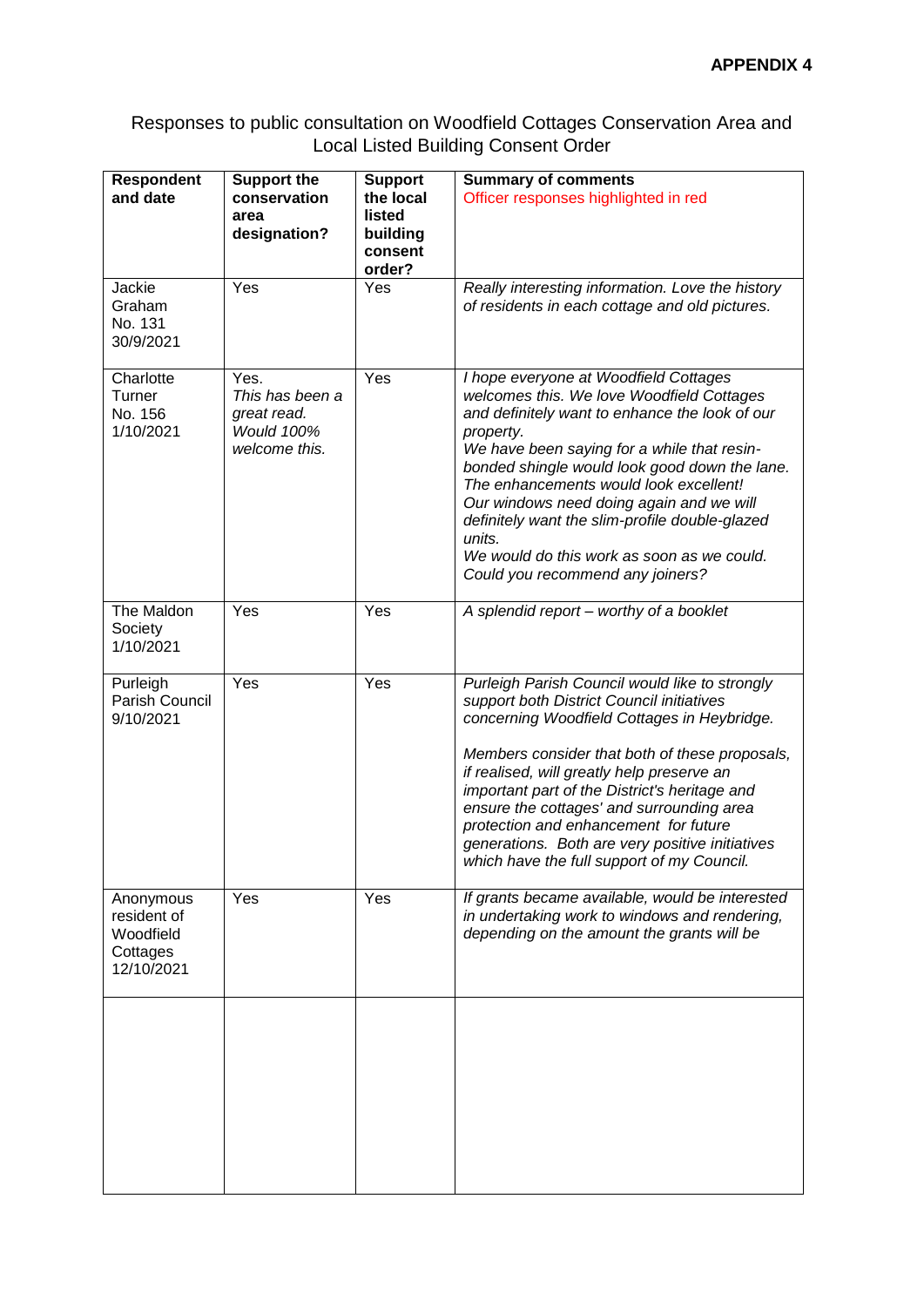## Responses to public consultation on Woodfield Cottages Conservation Area and Local Listed Building Consent Order

| <b>Respondent</b><br>and date                                   | <b>Support the</b><br>conservation<br>area<br>designation?                   | <b>Support</b><br>the local<br>listed<br>building<br>consent<br>order? | <b>Summary of comments</b><br>Officer responses highlighted in red                                                                                                                                                                                                                                                                                                                                                                                                                    |
|-----------------------------------------------------------------|------------------------------------------------------------------------------|------------------------------------------------------------------------|---------------------------------------------------------------------------------------------------------------------------------------------------------------------------------------------------------------------------------------------------------------------------------------------------------------------------------------------------------------------------------------------------------------------------------------------------------------------------------------|
| Jackie<br>Graham<br>No. 131<br>30/9/2021                        | Yes                                                                          | Yes                                                                    | Really interesting information. Love the history<br>of residents in each cottage and old pictures.                                                                                                                                                                                                                                                                                                                                                                                    |
| Charlotte<br>Turner<br>No. 156<br>1/10/2021                     | Yes.<br>This has been a<br>great read.<br><b>Would 100%</b><br>welcome this. | Yes                                                                    | I hope everyone at Woodfield Cottages<br>welcomes this. We love Woodfield Cottages<br>and definitely want to enhance the look of our<br>property.<br>We have been saying for a while that resin-<br>bonded shingle would look good down the lane.<br>The enhancements would look excellent!<br>Our windows need doing again and we will<br>definitely want the slim-profile double-glazed<br>units.<br>We would do this work as soon as we could.<br>Could you recommend any joiners? |
| The Maldon<br>Society<br>1/10/2021                              | Yes                                                                          | Yes                                                                    | A splendid report - worthy of a booklet                                                                                                                                                                                                                                                                                                                                                                                                                                               |
| Purleigh<br>Parish Council<br>9/10/2021                         | Yes                                                                          | Yes                                                                    | Purleigh Parish Council would like to strongly<br>support both District Council initiatives<br>concerning Woodfield Cottages in Heybridge.<br>Members consider that both of these proposals,<br>if realised, will greatly help preserve an<br>important part of the District's heritage and<br>ensure the cottages' and surrounding area<br>protection and enhancement for future<br>generations. Both are very positive initiatives<br>which have the full support of my Council.    |
| Anonymous<br>resident of<br>Woodfield<br>Cottages<br>12/10/2021 | Yes                                                                          | Yes                                                                    | If grants became available, would be interested<br>in undertaking work to windows and rendering,<br>depending on the amount the grants will be                                                                                                                                                                                                                                                                                                                                        |
|                                                                 |                                                                              |                                                                        |                                                                                                                                                                                                                                                                                                                                                                                                                                                                                       |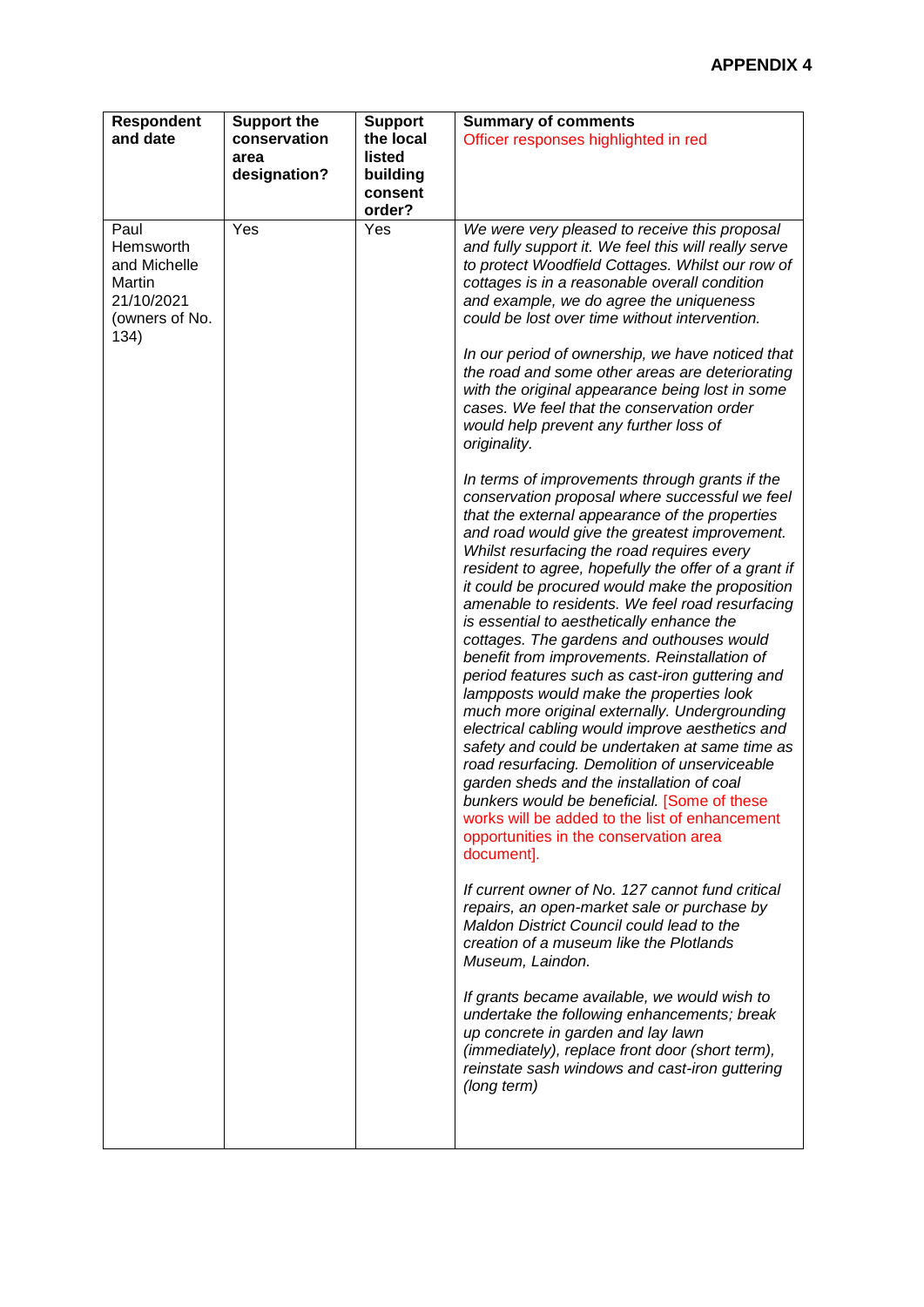| <b>Respondent</b><br>and date                                                       | <b>Support the</b><br>conservation<br>area<br>designation? | <b>Support</b><br>the local<br>listed<br>building<br>consent<br>order? | <b>Summary of comments</b><br>Officer responses highlighted in red                                                                                                                                                                                                                                                                                                                                                                                                                                                                                                                                                                                                                                                                                                                                                                                                                                                                                                                                                                                                                                                                                                                                                                                                                                                                                                                                                                                                                                                                                                                                                                                                                                                                                                                                                                                                                                                                                                                                                                                                                                                        |
|-------------------------------------------------------------------------------------|------------------------------------------------------------|------------------------------------------------------------------------|---------------------------------------------------------------------------------------------------------------------------------------------------------------------------------------------------------------------------------------------------------------------------------------------------------------------------------------------------------------------------------------------------------------------------------------------------------------------------------------------------------------------------------------------------------------------------------------------------------------------------------------------------------------------------------------------------------------------------------------------------------------------------------------------------------------------------------------------------------------------------------------------------------------------------------------------------------------------------------------------------------------------------------------------------------------------------------------------------------------------------------------------------------------------------------------------------------------------------------------------------------------------------------------------------------------------------------------------------------------------------------------------------------------------------------------------------------------------------------------------------------------------------------------------------------------------------------------------------------------------------------------------------------------------------------------------------------------------------------------------------------------------------------------------------------------------------------------------------------------------------------------------------------------------------------------------------------------------------------------------------------------------------------------------------------------------------------------------------------------------------|
| Paul<br>Hemsworth<br>and Michelle<br>Martin<br>21/10/2021<br>(owners of No.<br>134) | Yes                                                        | Yes                                                                    | We were very pleased to receive this proposal<br>and fully support it. We feel this will really serve<br>to protect Woodfield Cottages. Whilst our row of<br>cottages is in a reasonable overall condition<br>and example, we do agree the uniqueness<br>could be lost over time without intervention.<br>In our period of ownership, we have noticed that<br>the road and some other areas are deteriorating<br>with the original appearance being lost in some<br>cases. We feel that the conservation order<br>would help prevent any further loss of<br>originality.<br>In terms of improvements through grants if the<br>conservation proposal where successful we feel<br>that the external appearance of the properties<br>and road would give the greatest improvement.<br>Whilst resurfacing the road requires every<br>resident to agree, hopefully the offer of a grant if<br>it could be procured would make the proposition<br>amenable to residents. We feel road resurfacing<br>is essential to aesthetically enhance the<br>cottages. The gardens and outhouses would<br>benefit from improvements. Reinstallation of<br>period features such as cast-iron guttering and<br>lampposts would make the properties look<br>much more original externally. Undergrounding<br>electrical cabling would improve aesthetics and<br>safety and could be undertaken at same time as<br>road resurfacing. Demolition of unserviceable<br>garden sheds and the installation of coal<br>bunkers would be beneficial. [Some of these<br>works will be added to the list of enhancement<br>opportunities in the conservation area<br>document].<br>If current owner of No. 127 cannot fund critical<br>repairs, an open-market sale or purchase by<br>Maldon District Council could lead to the<br>creation of a museum like the Plotlands<br>Museum, Laindon.<br>If grants became available, we would wish to<br>undertake the following enhancements; break<br>up concrete in garden and lay lawn<br>(immediately), replace front door (short term),<br>reinstate sash windows and cast-iron guttering<br>(long term) |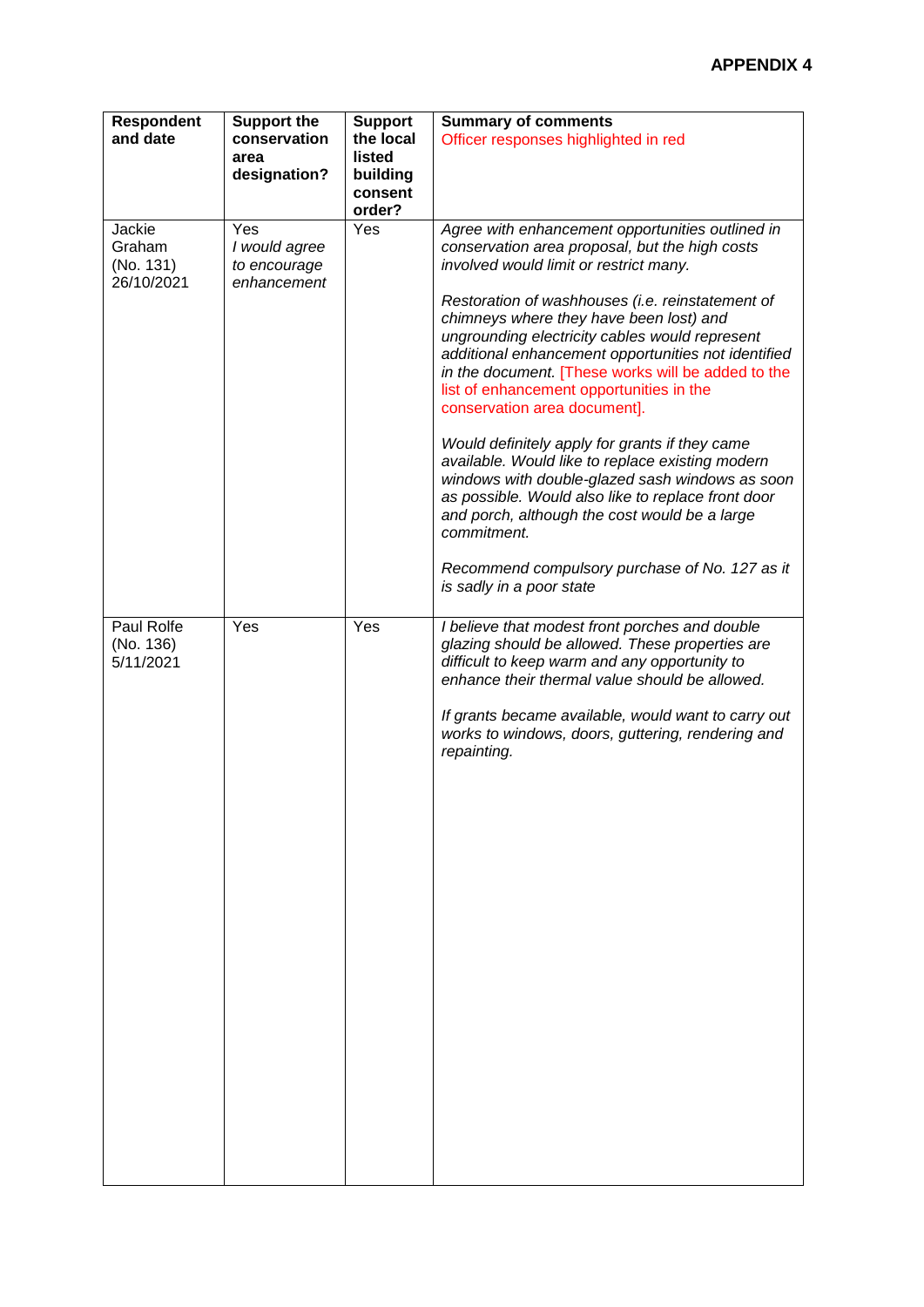| <b>Respondent</b><br>and date               | <b>Support the</b><br>conservation<br>area<br>designation? | <b>Support</b><br>the local<br>listed<br>building<br>consent<br>order? | <b>Summary of comments</b><br>Officer responses highlighted in red                                                                                                                                                                                                                                                                                                                                                                                                                                                                                                                                                                                                                                                                                                                                                                                  |
|---------------------------------------------|------------------------------------------------------------|------------------------------------------------------------------------|-----------------------------------------------------------------------------------------------------------------------------------------------------------------------------------------------------------------------------------------------------------------------------------------------------------------------------------------------------------------------------------------------------------------------------------------------------------------------------------------------------------------------------------------------------------------------------------------------------------------------------------------------------------------------------------------------------------------------------------------------------------------------------------------------------------------------------------------------------|
| Jackie<br>Graham<br>(No. 131)<br>26/10/2021 | Yes<br>I would agree<br>to encourage<br>enhancement        | Yes                                                                    | Agree with enhancement opportunities outlined in<br>conservation area proposal, but the high costs<br>involved would limit or restrict many.<br>Restoration of washhouses (i.e. reinstatement of<br>chimneys where they have been lost) and<br>ungrounding electricity cables would represent<br>additional enhancement opportunities not identified<br>in the document. [These works will be added to the<br>list of enhancement opportunities in the<br>conservation area document].<br>Would definitely apply for grants if they came<br>available. Would like to replace existing modern<br>windows with double-glazed sash windows as soon<br>as possible. Would also like to replace front door<br>and porch, although the cost would be a large<br>commitment.<br>Recommend compulsory purchase of No. 127 as it<br>is sadly in a poor state |
| Paul Rolfe<br>(No. 136)<br>5/11/2021        | Yes                                                        | Yes                                                                    | I believe that modest front porches and double<br>glazing should be allowed. These properties are<br>difficult to keep warm and any opportunity to<br>enhance their thermal value should be allowed.<br>If grants became available, would want to carry out<br>works to windows, doors, guttering, rendering and<br>repainting.                                                                                                                                                                                                                                                                                                                                                                                                                                                                                                                     |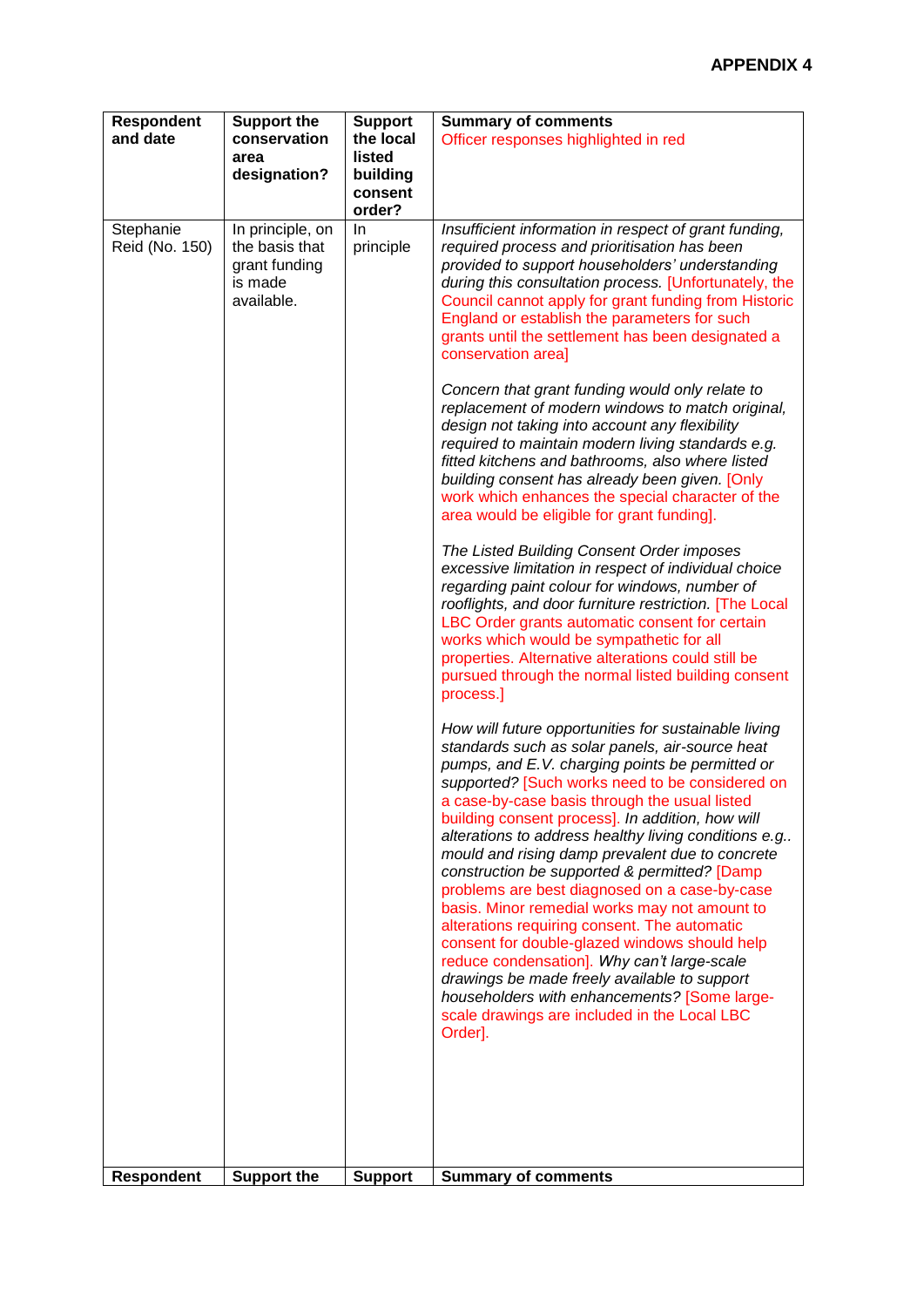| <b>Respondent</b><br>and date | <b>Support the</b><br>conservation                                           | <b>Support</b><br>the local | <b>Summary of comments</b><br>Officer responses highlighted in red                                                                                                                                                                                                                                                                                                                                                                                                                                                                                                                                                                                                                                                                                                                                                                                                                                                                                                                                                                                                                                                                                                                                                                                                |
|-------------------------------|------------------------------------------------------------------------------|-----------------------------|-------------------------------------------------------------------------------------------------------------------------------------------------------------------------------------------------------------------------------------------------------------------------------------------------------------------------------------------------------------------------------------------------------------------------------------------------------------------------------------------------------------------------------------------------------------------------------------------------------------------------------------------------------------------------------------------------------------------------------------------------------------------------------------------------------------------------------------------------------------------------------------------------------------------------------------------------------------------------------------------------------------------------------------------------------------------------------------------------------------------------------------------------------------------------------------------------------------------------------------------------------------------|
|                               | area                                                                         | listed                      |                                                                                                                                                                                                                                                                                                                                                                                                                                                                                                                                                                                                                                                                                                                                                                                                                                                                                                                                                                                                                                                                                                                                                                                                                                                                   |
|                               | designation?                                                                 | building<br>consent         |                                                                                                                                                                                                                                                                                                                                                                                                                                                                                                                                                                                                                                                                                                                                                                                                                                                                                                                                                                                                                                                                                                                                                                                                                                                                   |
|                               |                                                                              | order?                      |                                                                                                                                                                                                                                                                                                                                                                                                                                                                                                                                                                                                                                                                                                                                                                                                                                                                                                                                                                                                                                                                                                                                                                                                                                                                   |
| Stephanie<br>Reid (No. 150)   | In principle, on<br>the basis that<br>grant funding<br>is made<br>available. | In<br>principle             | Insufficient information in respect of grant funding,<br>required process and prioritisation has been<br>provided to support householders' understanding<br>during this consultation process. [Unfortunately, the<br>Council cannot apply for grant funding from Historic<br>England or establish the parameters for such<br>grants until the settlement has been designated a<br>conservation area]<br>Concern that grant funding would only relate to<br>replacement of modern windows to match original,<br>design not taking into account any flexibility<br>required to maintain modern living standards e.g.<br>fitted kitchens and bathrooms, also where listed<br>building consent has already been given. [Only<br>work which enhances the special character of the<br>area would be eligible for grant funding].<br>The Listed Building Consent Order imposes<br>excessive limitation in respect of individual choice<br>regarding paint colour for windows, number of<br>rooflights, and door furniture restriction. [The Local<br>LBC Order grants automatic consent for certain<br>works which would be sympathetic for all<br>properties. Alternative alterations could still be<br>pursued through the normal listed building consent<br>process.] |
|                               |                                                                              |                             | How will future opportunities for sustainable living<br>standards such as solar panels, air-source heat<br>pumps, and E.V. charging points be permitted or<br>supported? [Such works need to be considered on<br>a case-by-case basis through the usual listed<br>building consent process]. In addition, how will<br>alterations to address healthy living conditions e.g<br>mould and rising damp prevalent due to concrete<br>construction be supported & permitted? [Damp<br>problems are best diagnosed on a case-by-case<br>basis. Minor remedial works may not amount to<br>alterations requiring consent. The automatic<br>consent for double-glazed windows should help<br>reduce condensation]. Why can't large-scale<br>drawings be made freely available to support<br>householders with enhancements? [Some large-<br>scale drawings are included in the Local LBC<br>Order].                                                                                                                                                                                                                                                                                                                                                                        |
| <b>Respondent</b>             | <b>Support the</b>                                                           | <b>Support</b>              | <b>Summary of comments</b>                                                                                                                                                                                                                                                                                                                                                                                                                                                                                                                                                                                                                                                                                                                                                                                                                                                                                                                                                                                                                                                                                                                                                                                                                                        |